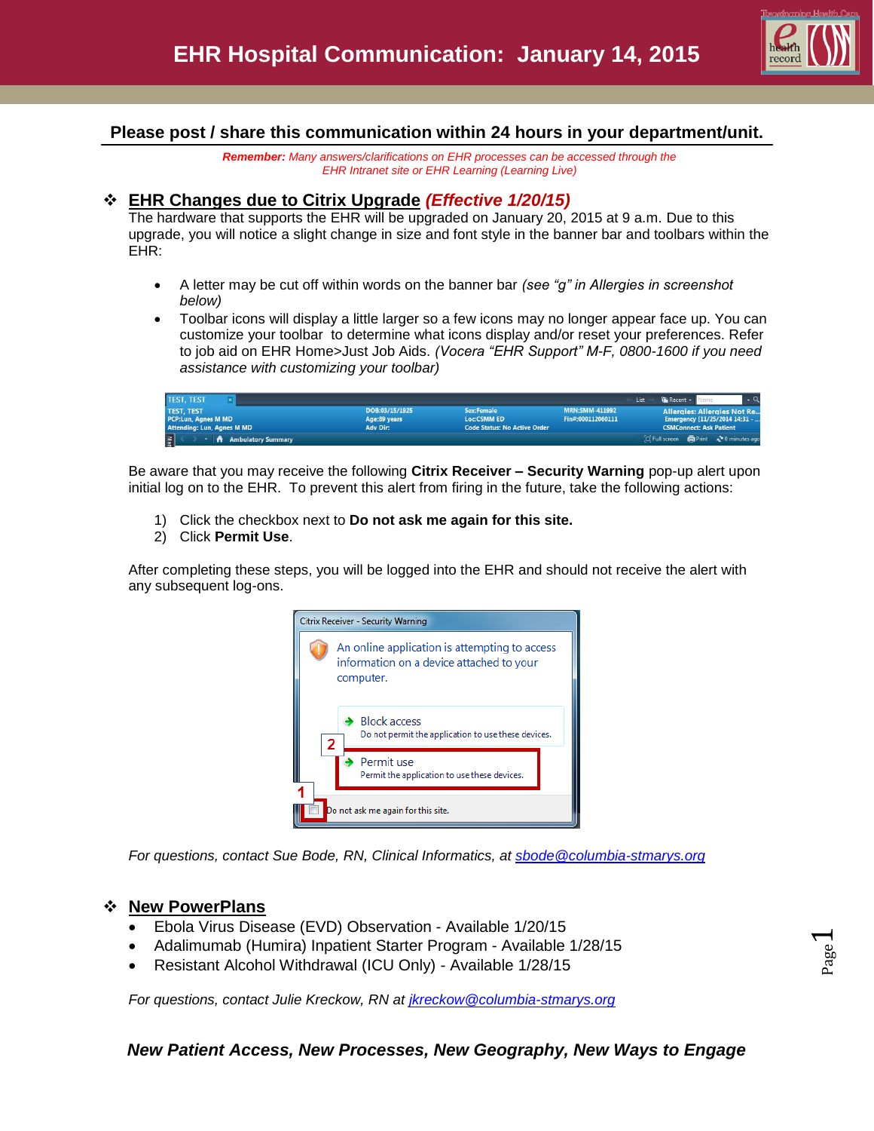

### **Please post / share this communication within 24 hours in your department/unit.**

*Remember: Many answers/clarifications on EHR processes can be accessed through the EHR Intranet site or EHR Learning (Learning Live)*

# **EHR Changes due to Citrix Upgrade** *(Effective 1/20/15)*

The hardware that supports the EHR will be upgraded on January 20, 2015 at 9 a.m. Due to this upgrade, you will notice a slight change in size and font style in the banner bar and toolbars within the EHR:

- A letter may be cut off within words on the banner bar *(see "g" in Allergies in screenshot below)*
- Toolbar icons will display a little larger so a few icons may no longer appear face up. You can customize your toolbar to determine what icons display and/or reset your preferences. Refer to job aid on EHR Home>Just Job Aids. *(Vocera "EHR Support" M-F, 0800-1600 if you need assistance with customizing your toolbar)*

| <b>TEST, TEST</b>                                                             |                                                   |                                                                                |                                     | $\frac{1}{2}$ Recent $\sim$ $\frac{1}{2}$<br>List |                                |                                                                     |
|-------------------------------------------------------------------------------|---------------------------------------------------|--------------------------------------------------------------------------------|-------------------------------------|---------------------------------------------------|--------------------------------|---------------------------------------------------------------------|
| <b>TEST. TEST</b><br>PCP:Lun, Agnes M MD<br><b>Attending: Lun, Agnes M MD</b> | DOB:03/15/1925<br>Age:89 years<br><b>Adv Dir:</b> | <b>Sex:Female</b><br><b>Loc:CSMM ED</b><br><b>Code Status: No Active Order</b> | MRN:SMM-411992<br>Fin#:000112060111 |                                                   | <b>CSMConnect: Ask Patient</b> | <b>Allergies: Allergies Not Re</b><br>Emergency [11/25/2014 14:31 - |
| $\frac{1}{2}$<br>T   Ambulatory Summary                                       |                                                   |                                                                                |                                     |                                                   |                                | [D] Full screen <b>The Print 20</b> 0 minutes ago                   |

Be aware that you may receive the following **Citrix Receiver – Security Warning** pop-up alert upon initial log on to the EHR. To prevent this alert from firing in the future, take the following actions:

- 1) Click the checkbox next to **Do not ask me again for this site.**
- 2) Click **Permit Use**.

After completing these steps, you will be logged into the EHR and should not receive the alert with any subsequent log-ons.



*For questions, contact Sue Bode, RN, Clinical Informatics, at [sbode@columbia-stmarys.org](mailto:sbode@columbia-stmarys.org)*

### **New PowerPlans**

- Ebola Virus Disease (EVD) Observation Available 1/20/15
- Adalimumab (Humira) Inpatient Starter Program Available 1/28/15
- Resistant Alcohol Withdrawal (ICU Only) Available 1/28/15

*For questions, contact Julie Kreckow, RN at [jkreckow@columbia-stmarys.org](mailto:jkreckow@columbia-stmarys.org)*

### *New Patient Access, New Processes, New Geography, New Ways to Engage*